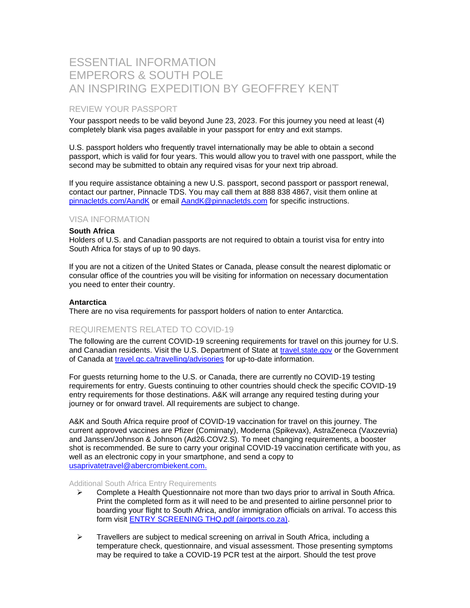# ESSENTIAL INFORMATION EMPERORS & SOUTH POLE AN INSPIRING EXPEDITION BY GEOFFREY KENT

# REVIEW YOUR PASSPORT

Your passport needs to be valid beyond June 23, 2023. For this journey you need at least (4) completely blank visa pages available in your passport for entry and exit stamps.

U.S. passport holders who frequently travel internationally may be able to obtain a second passport, which is valid for four years. This would allow you to travel with one passport, while the second may be submitted to obtain any required visas for your next trip abroad.

If you require assistance obtaining a new U.S. passport, second passport or passport renewal, contact our partner, Pinnacle TDS. You may call them at 888 838 4867, visit them online at [pinnacletds.com/AandK](http://www.pinnacletds.com/AandK) or email [AandK@pinnacletds.com](mailto:AandK@pinnacletds.com) for specific instructions.

### VISA INFORMATION

#### **South Africa**

Holders of U.S. and Canadian passports are not required to obtain a tourist visa for entry into South Africa for stays of up to 90 days.

If you are not a citizen of the United States or Canada, please consult the nearest diplomatic or consular office of the countries you will be visiting for information on necessary documentation you need to enter their country.

#### **Antarctica**

There are no visa requirements for passport holders of nation to enter Antarctica.

### REQUIREMENTS RELATED TO COVID-19

The following are the current COVID-19 screening requirements for travel on this journey for U.S. and Canadian residents. Visit the U.S. Department of State at [travel.state.gov](https://eur01.safelinks.protection.outlook.com/?url=https%3A%2F%2Ftravel.state.gov%2Fcontent%2Ftravel%2Fen%2Finternational-travel.html&data=05%7C01%7Clwala%40abercrombiekent.com%7C8b30c61c097b46e6a43b08da4e034a2c%7C62e53dcd9b81463f9fc2e36930bbbd84%7C0%7C0%7C637908073278171635%7CUnknown%7CTWFpbGZsb3d8eyJWIjoiMC4wLjAwMDAiLCJQIjoiV2luMzIiLCJBTiI6Ik1haWwiLCJXVCI6Mn0%3D%7C3000%7C%7C%7C&sdata=7jmK0Q3UDIPEN%2BprLR66tTqiZZKycjeAvKh2eRKml5A%3D&reserved=0) or the Government of Canada at [travel.gc.ca/travelling/advisories](https://eur01.safelinks.protection.outlook.com/?url=https%3A%2F%2Ftravel.gc.ca%2Ftravelling%2Fadvisories&data=05%7C01%7Clwala%40abercrombiekent.com%7C8b30c61c097b46e6a43b08da4e034a2c%7C62e53dcd9b81463f9fc2e36930bbbd84%7C0%7C0%7C637908073278171635%7CUnknown%7CTWFpbGZsb3d8eyJWIjoiMC4wLjAwMDAiLCJQIjoiV2luMzIiLCJBTiI6Ik1haWwiLCJXVCI6Mn0%3D%7C3000%7C%7C%7C&sdata=EBm1PKTOTRUMAhr1UqWx%2Bam8bKlEp%2Bi3dcSrIpk8MAE%3D&reserved=0) for up-to-date information.

For guests returning home to the U.S. or Canada, there are currently no COVID-19 testing requirements for entry. Guests continuing to other countries should check the specific COVID-19 entry requirements for those destinations. A&K will arrange any required testing during your journey or for onward travel. All requirements are subject to change.

A&K and South Africa require proof of COVID-19 vaccination for travel on this journey. The current approved vaccines are Pfizer (Comirnaty), Moderna (Spikevax), AstraZeneca (Vaxzevria) and Janssen/Johnson & Johnson (Ad26.COV2.S). To meet changing requirements, a booster shot is recommended. Be sure to carry your original COVID-19 vaccination certificate with you, as well as an electronic copy in your smartphone, and send a copy to [usaprivatetravel@abercrombiekent.com.](mailto:usaprivatetravel@abercrombiekent.com)

#### Additional South Africa Entry Requirements

- ➢ Complete a Health Questionnaire not more than two days prior to arrival in South Africa. Print the completed form as it will need to be and presented to airline personnel prior to boarding your flight to South Africa, and/or immigration officials on arrival. To access this form visit [ENTRY SCREENING THQ.pdf \(airports.co.za\).](https://eur01.safelinks.protection.outlook.com/?url=https%3A%2F%2Fwww.airports.co.za%2FDocuments%2FENTRY%2520SCREENING%2520THQ.pdf&data=04%7C01%7Clwala%40abercrombiekent.com%7C50ef7fd87def419a0ae808d95bfd6b90%7C62e53dcd9b81463f9fc2e36930bbbd84%7C0%7C0%7C637641966253194819%7CUnknown%7CTWFpbGZsb3d8eyJWIjoiMC4wLjAwMDAiLCJQIjoiV2luMzIiLCJBTiI6Ik1haWwiLCJXVCI6Mn0%3D%7C1000&sdata=TB7zADXrCcT3cPzkuebXH%2FkMM8YnWdOKHxlrgdR%2Baxo%3D&reserved=0)
- $\triangleright$  Travellers are subject to medical screening on arrival in South Africa, including a temperature check, questionnaire, and visual assessment. Those presenting symptoms may be required to take a COVID-19 PCR test at the airport. Should the test prove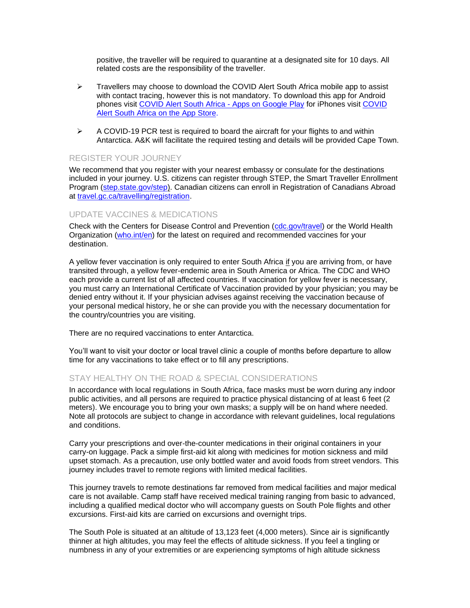positive, the traveller will be required to quarantine at a designated site for 10 days. All related costs are the responsibility of the traveller.

- ➢ Travellers may choose to download the COVID Alert South Africa mobile app to assist with contact tracing, however this is not mandatory. To download this app for Android phones visit [COVID Alert South Africa -](https://eur01.safelinks.protection.outlook.com/?url=https%3A%2F%2Fplay.google.com%2Fstore%2Fapps%2Fdetails%3Fid%3Dza.gov.health.covidconnect%26hl%3Den%26gl%3DUS&data=04%7C01%7Clwala%40abercrombiekent.com%7C792b308fbef7490bd8c008d97f9d144e%7C62e53dcd9b81463f9fc2e36930bbbd84%7C0%7C0%7C637681134885074452%7CUnknown%7CTWFpbGZsb3d8eyJWIjoiMC4wLjAwMDAiLCJQIjoiV2luMzIiLCJBTiI6Ik1haWwiLCJXVCI6Mn0%3D%7C1000&sdata=9x4q7U4iPUpcfbNdFdHkjZr%2F0Xhb8uWQ7boCMzeqs6Q%3D&reserved=0) Apps on Google Play for iPhones visit [COVID](https://eur01.safelinks.protection.outlook.com/?url=https%3A%2F%2Fapps.apple.com%2Fza%2Fapp%2Fcovid-alert-south-africa%2Fid1524618326&data=04%7C01%7Clwala%40abercrombiekent.com%7C792b308fbef7490bd8c008d97f9d144e%7C62e53dcd9b81463f9fc2e36930bbbd84%7C0%7C0%7C637681134885074452%7CUnknown%7CTWFpbGZsb3d8eyJWIjoiMC4wLjAwMDAiLCJQIjoiV2luMzIiLCJBTiI6Ik1haWwiLCJXVCI6Mn0%3D%7C1000&sdata=VYSt1RtaHyV5RQJH7nvo71S5%2Fm6itFbzxhtG9Y%2Fqa%2BI%3D&reserved=0)  [Alert South Africa on the App](https://eur01.safelinks.protection.outlook.com/?url=https%3A%2F%2Fapps.apple.com%2Fza%2Fapp%2Fcovid-alert-south-africa%2Fid1524618326&data=04%7C01%7Clwala%40abercrombiekent.com%7C792b308fbef7490bd8c008d97f9d144e%7C62e53dcd9b81463f9fc2e36930bbbd84%7C0%7C0%7C637681134885074452%7CUnknown%7CTWFpbGZsb3d8eyJWIjoiMC4wLjAwMDAiLCJQIjoiV2luMzIiLCJBTiI6Ik1haWwiLCJXVCI6Mn0%3D%7C1000&sdata=VYSt1RtaHyV5RQJH7nvo71S5%2Fm6itFbzxhtG9Y%2Fqa%2BI%3D&reserved=0) Store.
- $\triangleright$  A COVID-19 PCR test is required to board the aircraft for your flights to and within Antarctica. A&K will facilitate the required testing and details will be provided Cape Town.

### REGISTER YOUR JOURNEY

We recommend that you register with your nearest embassy or consulate for the destinations included in your journey. U.S. citizens can register through STEP, the Smart Traveller Enrollment Program [\(step.state.gov/step\)](https://step.state.gov/step/). Canadian citizens can enroll in Registration of Canadians Abroad at [travel.gc.ca/travelling/registration.](https://travel.gc.ca/travelling/registration)

### UPDATE VACCINES & MEDICATIONS

Check with the Centers for Disease Control and Prevention [\(cdc.gov/travel\)](http://wwwnc.cdc.gov/travel/) or the World Health Organization [\(who.int/en\)](http://www.who.int/en) for the latest on required and recommended vaccines for your destination.

A yellow fever vaccination is only required to enter South Africa if you are arriving from, or have transited through, a yellow fever-endemic area in South America or Africa. The CDC and WHO each provide a current list of all affected countries. If vaccination for yellow fever is necessary, you must carry an International Certificate of Vaccination provided by your physician; you may be denied entry without it. If your physician advises against receiving the vaccination because of your personal medical history, he or she can provide you with the necessary documentation for the country/countries you are visiting.

There are no required vaccinations to enter Antarctica.

You'll want to visit your doctor or local travel clinic a couple of months before departure to allow time for any vaccinations to take effect or to fill any prescriptions.

### STAY HEALTHY ON THE ROAD & SPECIAL CONSIDERATIONS

In accordance with local regulations in South Africa, face masks must be worn during any indoor public activities, and all persons are required to practice physical distancing of at least 6 feet (2 meters). We encourage you to bring your own masks; a supply will be on hand where needed. Note all protocols are subject to change in accordance with relevant guidelines, local regulations and conditions.

Carry your prescriptions and over-the-counter medications in their original containers in your carry-on luggage. Pack a simple first-aid kit along with medicines for motion sickness and mild upset stomach. As a precaution, use only bottled water and avoid foods from street vendors. This journey includes travel to remote regions with limited medical facilities.

This journey travels to remote destinations far removed from medical facilities and major medical care is not available. Camp staff have received medical training ranging from basic to advanced, including a qualified medical doctor who will accompany guests on South Pole flights and other excursions. First-aid kits are carried on excursions and overnight trips.

The South Pole is situated at an altitude of 13,123 feet (4,000 meters). Since air is significantly thinner at high altitudes, you may feel the effects of altitude sickness. If you feel a tingling or numbness in any of your extremities or are experiencing symptoms of high altitude sickness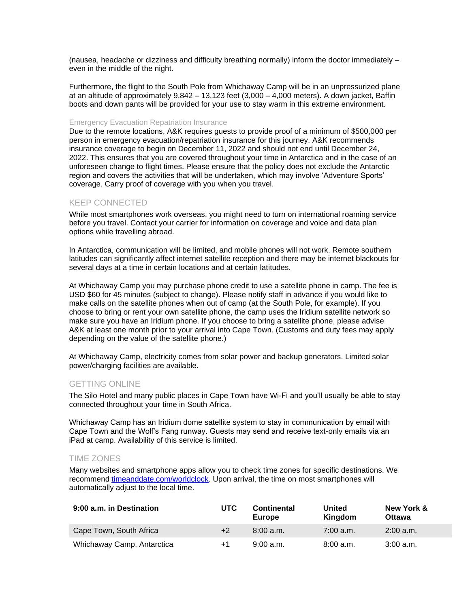(nausea, headache or dizziness and difficulty breathing normally) inform the doctor immediately – even in the middle of the night.

Furthermore, the flight to the South Pole from Whichaway Camp will be in an unpressurized plane at an altitude of approximately 9,842 – 13,123 feet (3,000 – 4,000 meters). A down jacket, Baffin boots and down pants will be provided for your use to stay warm in this extreme environment.

#### Emergency Evacuation Repatriation Insurance

Due to the remote locations, A&K requires guests to provide proof of a minimum of \$500,000 per person in emergency evacuation/repatriation insurance for this journey. A&K recommends insurance coverage to begin on December 11, 2022 and should not end until December 24, 2022. This ensures that you are covered throughout your time in Antarctica and in the case of an unforeseen change to flight times. Please ensure that the policy does not exclude the Antarctic region and covers the activities that will be undertaken, which may involve 'Adventure Sports' coverage. Carry proof of coverage with you when you travel.

### KEEP CONNECTED

While most smartphones work overseas, you might need to turn on international roaming service before you travel. Contact your carrier for information on coverage and voice and data plan options while travelling abroad.

In Antarctica, communication will be limited, and mobile phones will not work. Remote southern latitudes can significantly affect internet satellite reception and there may be internet blackouts for several days at a time in certain locations and at certain latitudes.

At Whichaway Camp you may purchase phone credit to use a satellite phone in camp. The fee is USD \$60 for 45 minutes (subject to change). Please notify staff in advance if you would like to make calls on the satellite phones when out of camp (at the South Pole, for example). If you choose to bring or rent your own satellite phone, the camp uses the Iridium satellite network so make sure you have an Iridium phone. If you choose to bring a satellite phone, please advise A&K at least one month prior to your arrival into Cape Town. (Customs and duty fees may apply depending on the value of the satellite phone.)

At Whichaway Camp, electricity comes from solar power and backup generators. Limited solar power/charging facilities are available.

### GETTING ONLINE

The Silo Hotel and many public places in Cape Town have Wi-Fi and you'll usually be able to stay connected throughout your time in South Africa.

Whichaway Camp has an Iridium dome satellite system to stay in communication by email with Cape Town and the Wolf's Fang runway. Guests may send and receive text-only emails via an iPad at camp. Availability of this service is limited.

### TIME ZONES

Many websites and smartphone apps allow you to check time zones for specific destinations. We recommend [timeanddate.com/worldclock.](https://www.timeanddate.com/worldclock/) Upon arrival, the time on most smartphones will automatically adjust to the local time.

| 9:00 a.m. in Destination   | <b>UTC</b> | <b>Continental</b><br>Europe | United<br>Kingdom | New York &<br><b>Ottawa</b> |
|----------------------------|------------|------------------------------|-------------------|-----------------------------|
| Cape Town, South Africa    | $+2$       | 8:00a.m.                     | 7:00 a.m.         | $2:00$ a.m.                 |
| Whichaway Camp, Antarctica | $+1$       | 9:00a.m.                     | 8:00a.m.          | 3:00 a.m.                   |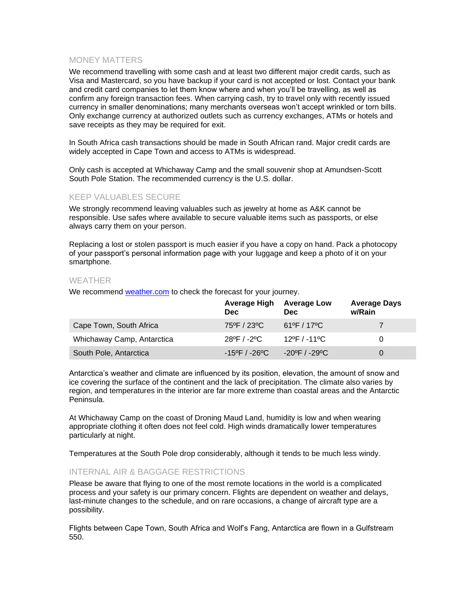# MONEY MATTERS

We recommend travelling with some cash and at least two different major credit cards, such as Visa and Mastercard, so you have backup if your card is not accepted or lost. Contact your bank and credit card companies to let them know where and when you'll be travelling, as well as confirm any foreign transaction fees. When carrying cash, try to travel only with recently issued currency in smaller denominations; many merchants overseas won't accept wrinkled or torn bills. Only exchange currency at authorized outlets such as currency exchanges, ATMs or hotels and save receipts as they may be required for exit.

In South Africa cash transactions should be made in South African rand. Major credit cards are widely accepted in Cape Town and access to ATMs is widespread.

Only cash is accepted at Whichaway Camp and the small souvenir shop at Amundsen-Scott South Pole Station. The recommended currency is the U.S. dollar.

### KEEP VALUABLES SECURE

We strongly recommend leaving valuables such as jewelry at home as A&K cannot be responsible. Use safes where available to secure valuable items such as passports, or else always carry them on your person.

Replacing a lost or stolen passport is much easier if you have a copy on hand. Pack a photocopy of your passport's personal information page with your luggage and keep a photo of it on your smartphone.

### WEATHER

We recommend [weather.com](http://www.weather.com/) to check the forecast for your journey.

|                            | <b>Average High</b><br><b>Dec</b> | <b>Average Low</b><br><b>Dec</b>   | <b>Average Days</b><br>w/Rain |
|----------------------------|-----------------------------------|------------------------------------|-------------------------------|
| Cape Town, South Africa    | 75°F / 23°C                       | $61^{\circ}$ F / 17 <sup>o</sup> C | $\tau$                        |
| Whichaway Camp, Antarctica | 28ºF / -2ºC                       | $12^{\circ}$ F / -11 $^{\circ}$ C  | 0                             |
| South Pole, Antarctica     | $-15^{\circ}$ F / $-26^{\circ}$ C | $-20^{\circ}$ F / $-29^{\circ}$ C  | 0                             |

Antarctica's weather and climate are influenced by its position, elevation, the amount of snow and ice covering the surface of the continent and the lack of precipitation. The climate also varies by region, and temperatures in the interior are far more extreme than coastal areas and the Antarctic Peninsula.

At Whichaway Camp on the coast of Droning Maud Land, humidity is low and when wearing appropriate clothing it often does not feel cold. High winds dramatically lower temperatures particularly at night.

Temperatures at the South Pole drop considerably, although it tends to be much less windy.

### INTERNAL AIR & BAGGAGE RESTRICTIONS

Please be aware that flying to one of the most remote locations in the world is a complicated process and your safety is our primary concern. Flights are dependent on weather and delays, last-minute changes to the schedule, and on rare occasions, a change of aircraft type are a possibility.

Flights between Cape Town, South Africa and Wolf's Fang, Antarctica are flown in a Gulfstream 550.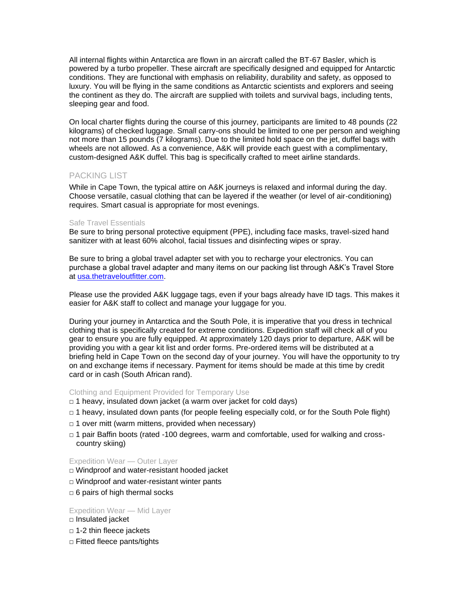All internal flights within Antarctica are flown in an aircraft called the BT-67 Basler, which is powered by a turbo propeller. These aircraft are specifically designed and equipped for Antarctic conditions. They are functional with emphasis on reliability, durability and safety, as opposed to luxury. You will be flying in the same conditions as Antarctic scientists and explorers and seeing the continent as they do. The aircraft are supplied with toilets and survival bags, including tents, sleeping gear and food.

On local charter flights during the course of this journey, participants are limited to 48 pounds (22 kilograms) of checked luggage. Small carry-ons should be limited to one per person and weighing not more than 15 pounds (7 kilograms). Due to the limited hold space on the jet, duffel bags with wheels are not allowed. As a convenience, A&K will provide each guest with a complimentary, custom-designed A&K duffel. This bag is specifically crafted to meet airline standards.

### PACKING LIST

While in Cape Town, the typical attire on A&K journeys is relaxed and informal during the day. Choose versatile, casual clothing that can be layered if the weather (or level of air-conditioning) requires. Smart casual is appropriate for most evenings.

### Safe Travel Essentials

Be sure to bring personal protective equipment (PPE), including face masks, travel-sized hand sanitizer with at least 60% alcohol, facial tissues and disinfecting wipes or spray.

Be sure to bring a global travel adapter set with you to recharge your electronics. You can purchase a global travel adapter and many items on our packing list through A&K's Travel Store at [usa.thetraveloutfitter.com.](https://usa.thetraveloutfitter.com/)

Please use the provided A&K luggage tags, even if your bags already have ID tags. This makes it easier for A&K staff to collect and manage your luggage for you.

During your journey in Antarctica and the South Pole, it is imperative that you dress in technical clothing that is specifically created for extreme conditions. Expedition staff will check all of you gear to ensure you are fully equipped. At approximately 120 days prior to departure, A&K will be providing you with a gear kit list and order forms. Pre-ordered items will be distributed at a briefing held in Cape Town on the second day of your journey. You will have the opportunity to try on and exchange items if necessary. Payment for items should be made at this time by credit card or in cash (South African rand).

### Clothing and Equipment Provided for Temporary Use

- $\Box$  1 heavy, insulated down jacket (a warm over jacket for cold days)
- $\Box$  1 heavy, insulated down pants (for people feeling especially cold, or for the South Pole flight)
- $\Box$  1 over mitt (warm mittens, provided when necessary)
- $\Box$  1 pair Baffin boots (rated -100 degrees, warm and comfortable, used for walking and crosscountry skiing)

### Expedition Wear — Outer Layer

- □ Windproof and water-resistant hooded jacket
- □ Windproof and water-resistant winter pants
- $\Box$  6 pairs of high thermal socks

### Expedition Wear — Mid Layer

- □ Insulated jacket
- $\Box$  1-2 thin fleece jackets
- □ Fitted fleece pants/tights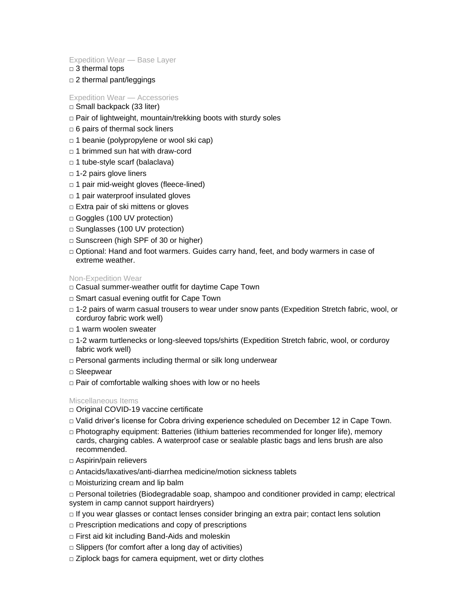#### Expedition Wear — Base Layer

- $\Box$  3 thermal tops
- □ 2 thermal pant/leggings

### Expedition Wear — Accessories

- □ Small backpack (33 liter)
- □ Pair of lightweight, mountain/trekking boots with sturdy soles
- $\Box$  6 pairs of thermal sock liners
- □ 1 beanie (polypropylene or wool ski cap)
- □ 1 brimmed sun hat with draw-cord
- $\Box$  1 tube-style scarf (balaclava)
- □ 1-2 pairs glove liners
- $\Box$  1 pair mid-weight gloves (fleece-lined)
- $\Box$  1 pair waterproof insulated gloves
- □ Extra pair of ski mittens or gloves
- □ Goggles (100 UV protection)
- □ Sunglasses (100 UV protection)
- □ Sunscreen (high SPF of 30 or higher)
- □ Optional: Hand and foot warmers. Guides carry hand, feet, and body warmers in case of extreme weather.

#### Non-Expedition Wear

- □ Casual summer-weather outfit for daytime Cape Town
- □ Smart casual evening outfit for Cape Town
- □ 1-2 pairs of warm casual trousers to wear under snow pants (Expedition Stretch fabric, wool, or corduroy fabric work well)
- □ 1 warm woolen sweater
- □ 1-2 warm turtlenecks or long-sleeved tops/shirts (Expedition Stretch fabric, wool, or corduroy fabric work well)
- $\Box$  Personal garments including thermal or silk long underwear
- □ Sleepwear
- $\Box$  Pair of comfortable walking shoes with low or no heels

### Miscellaneous Items

- □ Original COVID-19 vaccine certificate
- □ Valid driver's license for Cobra driving experience scheduled on December 12 in Cape Town.
- □ Photography equipment: Batteries (lithium batteries recommended for longer life), memory cards, charging cables. A waterproof case or sealable plastic bags and lens brush are also recommended.
- □ Aspirin/pain relievers
- □ Antacids/laxatives/anti-diarrhea medicine/motion sickness tablets
- □ Moisturizing cream and lip balm
- □ Personal toiletries (Biodegradable soap, shampoo and conditioner provided in camp; electrical system in camp cannot support hairdryers)
- □ If you wear glasses or contact lenses consider bringing an extra pair; contact lens solution
- $\Box$  Prescription medications and copy of prescriptions
- □ First aid kit including Band-Aids and moleskin
- $\Box$  Slippers (for comfort after a long day of activities)
- □ Ziplock bags for camera equipment, wet or dirty clothes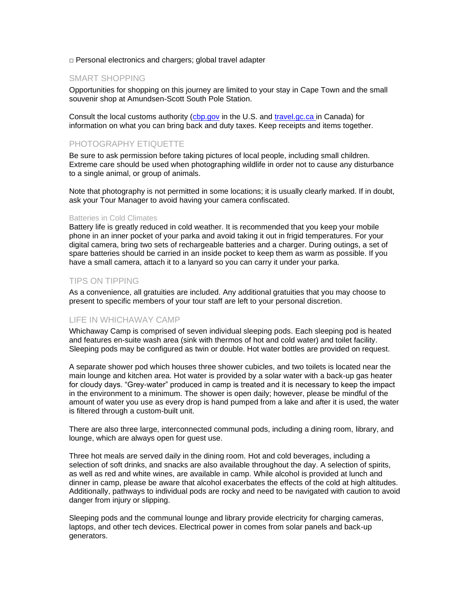□ Personal electronics and chargers; global travel adapter

### SMART SHOPPING

Opportunities for shopping on this journey are limited to your stay in Cape Town and the small souvenir shop at Amundsen-Scott South Pole Station.

Consult the local customs authority [\(cbp.gov](http://www.cbp.gov/) in the U.S. and travel.gc.ca in Canada) for information on what you can bring back and duty taxes. Keep receipts and items together.

# PHOTOGRAPHY ETIQUETTE

Be sure to ask permission before taking pictures of local people, including small children. Extreme care should be used when photographing wildlife in order not to cause any disturbance to a single animal, or group of animals.

Note that photography is not permitted in some locations; it is usually clearly marked. If in doubt, ask your Tour Manager to avoid having your camera confiscated.

#### Batteries in Cold Climates

Battery life is greatly reduced in cold weather. It is recommended that you keep your mobile phone in an inner pocket of your parka and avoid taking it out in frigid temperatures. For your digital camera, bring two sets of rechargeable batteries and a charger. During outings, a set of spare batteries should be carried in an inside pocket to keep them as warm as possible. If you have a small camera, attach it to a lanyard so you can carry it under your parka.

### TIPS ON TIPPING

As a convenience, all gratuities are included. Any additional gratuities that you may choose to present to specific members of your tour staff are left to your personal discretion.

### LIFE IN WHICHAWAY CAMP

Whichaway Camp is comprised of seven individual sleeping pods. Each sleeping pod is heated and features en-suite wash area (sink with thermos of hot and cold water) and toilet facility. Sleeping pods may be configured as twin or double. Hot water bottles are provided on request.

A separate shower pod which houses three shower cubicles, and two toilets is located near the main lounge and kitchen area. Hot water is provided by a solar water with a back-up gas heater for cloudy days. "Grey-water" produced in camp is treated and it is necessary to keep the impact in the environment to a minimum. The shower is open daily; however, please be mindful of the amount of water you use as every drop is hand pumped from a lake and after it is used, the water is filtered through a custom-built unit.

There are also three large, interconnected communal pods, including a dining room, library, and lounge, which are always open for guest use.

Three hot meals are served daily in the dining room. Hot and cold beverages, including a selection of soft drinks, and snacks are also available throughout the day. A selection of spirits, as well as red and white wines, are available in camp. While alcohol is provided at lunch and dinner in camp, please be aware that alcohol exacerbates the effects of the cold at high altitudes. Additionally, pathways to individual pods are rocky and need to be navigated with caution to avoid danger from injury or slipping.

Sleeping pods and the communal lounge and library provide electricity for charging cameras, laptops, and other tech devices. Electrical power in comes from solar panels and back-up generators.